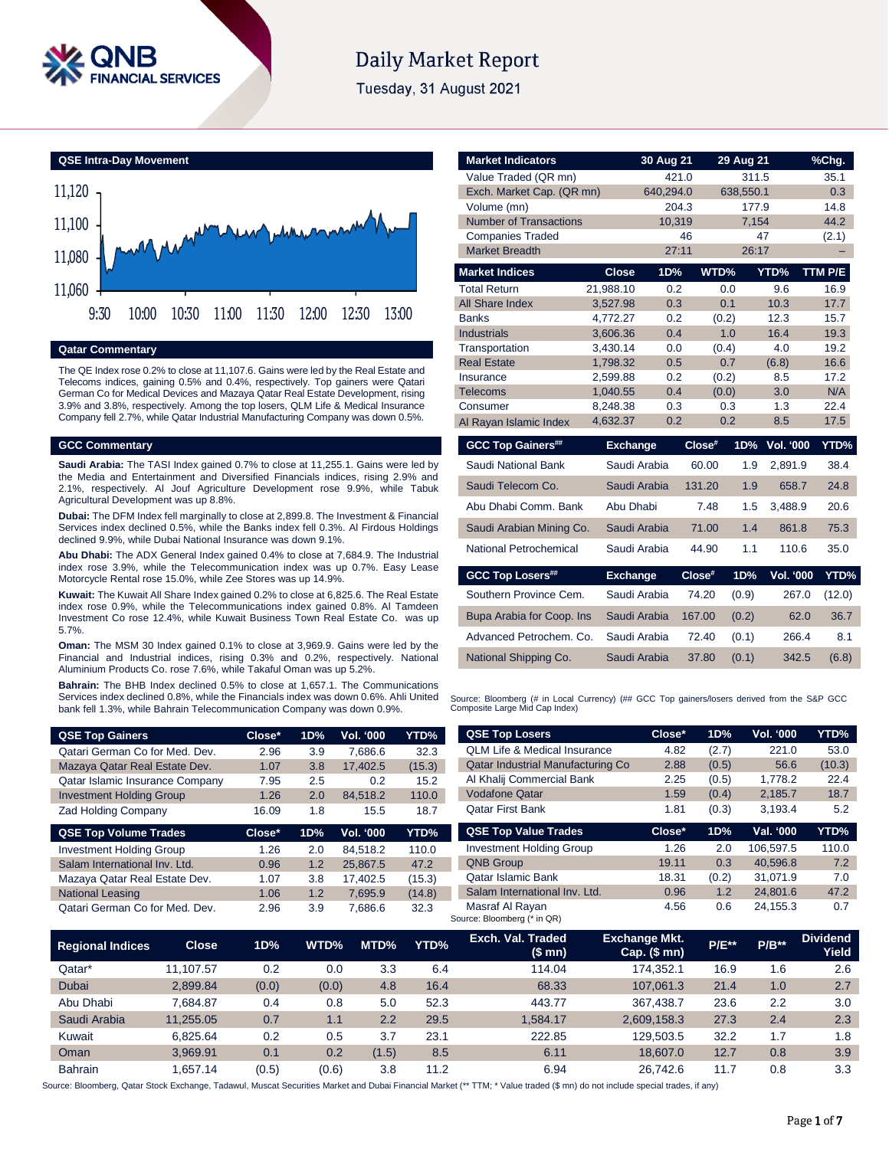

# **Daily Market Report**

Tuesday, 31 August 2021

**QSE Intra-Day Movement**



### **Qatar Commentary**

The QE Index rose 0.2% to close at 11,107.6. Gains were led by the Real Estate and Telecoms indices, gaining 0.5% and 0.4%, respectively. Top gainers were Qatari German Co for Medical Devices and Mazaya Qatar Real Estate Development, rising 3.9% and 3.8%, respectively. Among the top losers, QLM Life & Medical Insurance Company fell 2.7%, while Qatar Industrial Manufacturing Company was down 0.5%.

### **GCC Commentary**

**Saudi Arabia:** The TASI Index gained 0.7% to close at 11,255.1. Gains were led by the Media and Entertainment and Diversified Financials indices, rising 2.9% and 2.1%, respectively. Al Jouf Agriculture Development rose 9.9%, while Tabuk Agricultural Development was up 8.8%.

**Dubai:** The DFM Index fell marginally to close at 2,899.8. The Investment & Financial Services index declined 0.5%, while the Banks index fell 0.3%. Al Firdous Holdings declined 9.9%, while Dubai National Insurance was down 9.1%.

**Abu Dhabi:** The ADX General Index gained 0.4% to close at 7,684.9. The Industrial index rose 3.9%, while the Telecommunication index was up 0.7%. Easy Lease Motorcycle Rental rose 15.0%, while Zee Stores was up 14.9%.

**Kuwait:** The Kuwait All Share Index gained 0.2% to close at 6,825.6. The Real Estate index rose 0.9%, while the Telecommunications index gained 0.8%. Al Tamdeen Investment Co rose 12.4%, while Kuwait Business Town Real Estate Co. was up 5.7%.

**Oman:** The MSM 30 Index gained 0.1% to close at 3,969.9. Gains were led by the Financial and Industrial indices, rising 0.3% and 0.2%, respectively. National Aluminium Products Co. rose 7.6%, while Takaful Oman was up 5.2%.

**Bahrain:** The BHB Index declined 0.5% to close at 1,657.1. The Communications Services index declined 0.8%, while the Financials index was down 0.6%. Ahli United bank fell 1.3%, while Bahrain Telecommunication Company was down 0.9%.

| <b>QSE Top Gainers</b>          | Close* | 1D% | Vol. '000        | YTD%   |
|---------------------------------|--------|-----|------------------|--------|
| Qatari German Co for Med. Dev.  | 2.96   | 3.9 | 7.686.6          | 32.3   |
| Mazaya Qatar Real Estate Dev.   | 1.07   | 3.8 | 17,402.5         | (15.3) |
| Qatar Islamic Insurance Company | 7.95   | 2.5 | 0.2              | 15.2   |
| <b>Investment Holding Group</b> | 1.26   | 2.0 | 84,518.2         | 110.0  |
| <b>Zad Holding Company</b>      | 16.09  | 1.8 | 15.5             | 18.7   |
|                                 |        |     |                  |        |
| <b>QSE Top Volume Trades</b>    | Close* | 1D% | <b>Vol. '000</b> | YTD%   |
| <b>Investment Holding Group</b> | 1.26   | 2.0 | 84.518.2         | 110.0  |
| Salam International Inv. Ltd.   | 0.96   | 1.2 | 25,867.5         | 47.2   |
| Mazaya Qatar Real Estate Dev.   | 1.07   | 3.8 | 17.402.5         | (15.3) |
| <b>National Leasing</b>         | 1.06   | 1.2 | 7,695.9          | (14.8) |

| <b>Market Indicators</b>           |                      | 30 Aug 21    |        | 29 Aug 21    |                  | %Chg.       |
|------------------------------------|----------------------|--------------|--------|--------------|------------------|-------------|
| Value Traded (QR mn)               |                      | 421.0        |        | 311.5        |                  | 35.1        |
| Exch. Market Cap. (QR mn)          |                      | 640,294.0    |        | 638,550.1    |                  | 0.3         |
| Volume (mn)                        |                      | 204.3        |        | 177.9        |                  | 14.8        |
| <b>Number of Transactions</b>      |                      | 10,319       |        | 7,154        |                  | 44.2        |
| <b>Companies Traded</b>            |                      |              | 46     |              | 47               | (2.1)       |
| <b>Market Breadth</b>              |                      | 27:11        |        | 26:17        |                  |             |
| <b>Market Indices</b>              | <b>Close</b>         | 1D%          | WTD%   |              | YTD%             | TTM P/E     |
| <b>Total Return</b>                | 21,988.10            | 0.2          |        | 0.0          | 9.6              | 16.9        |
| All Share Index                    | 3,527.98             | 0.3          |        | 0.1          | 10.3             | 17.7        |
| <b>Banks</b>                       | 4,772.27             | 0.2          |        | (0.2)        | 12.3             | 15.7        |
| <b>Industrials</b>                 | 3.606.36             | 0.4          |        | 1.0          | 16.4             | 19.3        |
| Transportation                     | 3,430.14             | 0.0          |        | (0.4)        | 4.0              | 19.2        |
| <b>Real Estate</b>                 | 1,798.32             | 0.5          |        | 0.7          | (6.8)            | 16.6        |
| Insurance                          | 2,599.88             | 0.2          |        | (0.2)        | 8.5              | 17.2        |
| <b>Telecoms</b>                    | 1.040.55             | 0.4<br>0.3   |        | (0.0)<br>0.3 | 3.0<br>1.3       | N/A<br>22.4 |
| Consumer<br>Al Rayan Islamic Index | 8,248.38<br>4,632.37 | 0.2          |        | 0.2          | 8.5              | 17.5        |
|                                    |                      |              |        |              |                  |             |
| <b>GCC Top Gainers##</b>           | <b>Exchange</b>      |              | Close# | 1D%          | <b>Vol. '000</b> | YTD%        |
| Saudi National Bank                |                      | Saudi Arabia | 60.00  | 1.9          | 2.891.9          | 38.4        |
| Saudi Telecom Co.                  |                      | Saudi Arabia | 131.20 | 1.9          | 658.7            | 24.8        |
| Abu Dhabi Comm, Bank               | Abu Dhabi            |              | 7.48   | 1.5          | 3,488.9          | 20.6        |
| Saudi Arabian Mining Co.           |                      | Saudi Arabia | 71.00  | 1.4          | 861.8            | 75.3        |
| National Petrochemical             |                      | Saudi Arabia | 44.90  | 1.1          | 110.6            | 35.0        |
| <b>GCC Top Losers##</b>            | <b>Exchange</b>      |              | Close# | 1D%          | Vol. '000        | YTD%        |
| Southern Province Cem.             |                      | Saudi Arabia | 74.20  | (0.9)        | 267.0            | (12.0)      |
| Bupa Arabia for Coop. Ins          |                      | Saudi Arabia | 167.00 | (0.2)        | 62.0             | 36.7        |
| Advanced Petrochem, Co.            |                      | Saudi Arabia | 72.40  | (0.1)        | 266.4            | 8.1         |
| National Shipping Co.              |                      | Saudi Arabia | 37.80  | (0.1)        | 342.5            | (6.8)       |

Source: Bloomberg (# in Local Currency) (## GCC Top gainers/losers derived from the S&P GCC<br>Composite Large Mid Cap Index)

| <b>QSE Top Losers</b>                    | Close* | 1D%   | <b>Vol. '000</b> | YTD%   |
|------------------------------------------|--------|-------|------------------|--------|
| <b>OLM Life &amp; Medical Insurance</b>  | 4.82   | (2.7) | 221.0            | 53.0   |
| <b>Qatar Industrial Manufacturing Co</b> | 2.88   | (0.5) | 56.6             | (10.3) |
| Al Khalij Commercial Bank                | 2.25   | (0.5) | 1,778.2          | 22.4   |
| <b>Vodafone Qatar</b>                    | 1.59   | (0.4) | 2.185.7          | 18.7   |
| <b>Oatar First Bank</b>                  | 1.81   | (0.3) | 3.193.4          | 5.2    |
|                                          |        |       |                  |        |
| <b>QSE Top Value Trades</b>              | Close* | 1D%   | Val. '000        | YTD%   |
| <b>Investment Holding Group</b>          | 1.26   | 2.0   | 106.597.5        | 110.0  |
| <b>QNB Group</b>                         | 19.11  | 0.3   | 40.596.8         | 7.2    |
| Qatar Islamic Bank                       | 18.31  | (0.2) | 31.071.9         | 7.0    |
| Salam International Inv. Ltd.            | 0.96   | 1.2   | 24.801.6         | 47.2   |

| <b>Regional Indices</b> | <b>Close</b> | 1D%   | WTD%  | MTD%  | YTD% | Exch. Val. Traded<br>(\$mn) | <b>Exchange Mkt.</b><br>Cap. $($$ mn $)$ | <b>P/E**</b> | $P/B***$ | <b>Dividend</b><br>Yield |
|-------------------------|--------------|-------|-------|-------|------|-----------------------------|------------------------------------------|--------------|----------|--------------------------|
| Qatar*                  | 11.107.57    | 0.2   | 0.0   | 3.3   | 6.4  | 114.04                      | 174.352.1                                | 16.9         | 1.6      | 2.6                      |
| <b>Dubai</b>            | 2.899.84     | (0.0) | (0.0) | 4.8   | 16.4 | 68.33                       | 107.061.3                                | 21.4         | 1.0      | 2.7                      |
| Abu Dhabi               | 7.684.87     | 0.4   | 0.8   | 5.0   | 52.3 | 443.77                      | 367.438.7                                | 23.6         | 2.2      | 3.0                      |
| Saudi Arabia            | 11.255.05    | 0.7   | 1.1   | 2.2   | 29.5 | 1.584.17                    | 2,609,158.3                              | 27.3         | 2.4      | 2.3                      |
| Kuwait                  | 6.825.64     | 0.2   | 0.5   | 3.7   | 23.1 | 222.85                      | 129.503.5                                | 32.2         | 1.7      | 1.8                      |
| Oman                    | 3.969.91     | 0.1   | 0.2   | (1.5) | 8.5  | 6.11                        | 18,607.0                                 | 12.7         | 0.8      | 3.9                      |
| <b>Bahrain</b>          | .657.14      | (0.5) | (0.6) | 3.8   | 11.2 | 6.94                        | 26.742.6                                 | 11.7         | 0.8      | 3.3                      |

Source: Bloomberg, Qatar Stock Exchange, Tadawul, Muscat Securities Market and Dubai Financial Market (\*\* TTM; \* Value traded (\$ mn) do not include special trades, if any)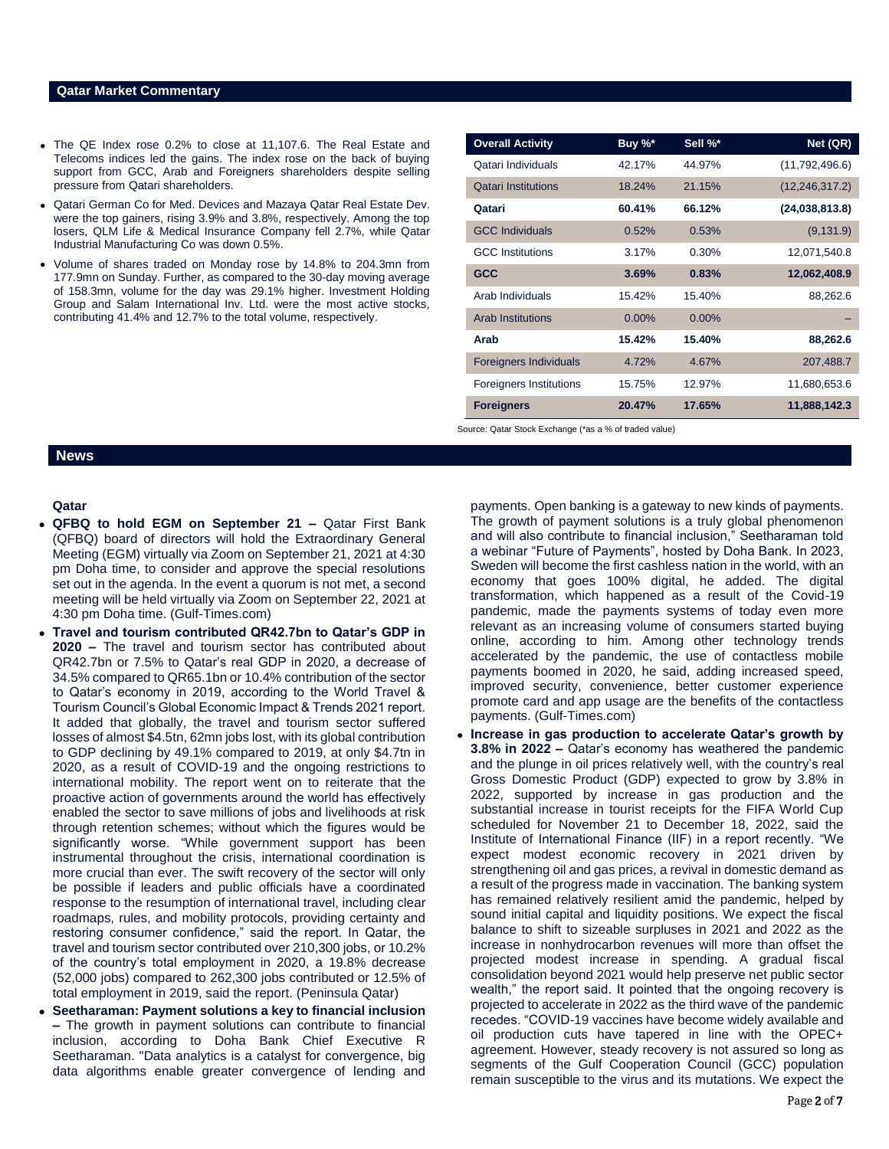### **Qatar Market Commentary**

- The QE Index rose 0.2% to close at 11,107.6. The Real Estate and Telecoms indices led the gains. The index rose on the back of buying support from GCC, Arab and Foreigners shareholders despite selling pressure from Qatari shareholders.
- Qatari German Co for Med. Devices and Mazaya Qatar Real Estate Dev. were the top gainers, rising 3.9% and 3.8%, respectively. Among the top losers, QLM Life & Medical Insurance Company fell 2.7%, while Qatar Industrial Manufacturing Co was down 0.5%.
- Volume of shares traded on Monday rose by 14.8% to 204.3mn from 177.9mn on Sunday. Further, as compared to the 30-day moving average of 158.3mn, volume for the day was 29.1% higher. Investment Holding Group and Salam International Inv. Ltd. were the most active stocks, contributing 41.4% and 12.7% to the total volume, respectively.

| <b>Overall Activity</b>        | Buy %*   | Sell %*  | Net (QR)         |
|--------------------------------|----------|----------|------------------|
| Qatari Individuals             | 42.17%   | 44.97%   | (11,792,496.6)   |
| <b>Qatari Institutions</b>     | 18.24%   | 21.15%   | (12, 246, 317.2) |
| Qatari                         | 60.41%   | 66.12%   | (24,038,813.8)   |
| <b>GCC Individuals</b>         | 0.52%    | 0.53%    | (9, 131.9)       |
| <b>GCC</b> Institutions        | 3.17%    | 0.30%    | 12,071,540.8     |
| <b>GCC</b>                     | 3.69%    | 0.83%    | 12,062,408.9     |
| Arab Individuals               | 15.42%   | 15.40%   | 88,262.6         |
| Arab Institutions              | $0.00\%$ | $0.00\%$ |                  |
| Arab                           | 15.42%   | 15.40%   | 88,262.6         |
| <b>Foreigners Individuals</b>  | 4.72%    | 4.67%    | 207,488.7        |
| <b>Foreigners Institutions</b> | 15.75%   | 12.97%   | 11,680,653.6     |
| <b>Foreigners</b>              | 20.47%   | 17.65%   | 11,888,142.3     |

Source: Qatar Stock Exchange (\*as a % of traded value)

## **News**

### **Qatar**

- **QFBQ to hold EGM on September 21 –** Qatar First Bank (QFBQ) board of directors will hold the Extraordinary General Meeting (EGM) virtually via Zoom on September 21, 2021 at 4:30 pm Doha time, to consider and approve the special resolutions set out in the agenda. In the event a quorum is not met, a second meeting will be held virtually via Zoom on September 22, 2021 at 4:30 pm Doha time. (Gulf-Times.com)
- **Travel and tourism contributed QR42.7bn to Qatar's GDP in 2020 –** The travel and tourism sector has contributed about QR42.7bn or 7.5% to Qatar's real GDP in 2020, a decrease of 34.5% compared to QR65.1bn or 10.4% contribution of the sector to Qatar's economy in 2019, according to the World Travel & Tourism Council's Global Economic Impact & Trends 2021 report. It added that globally, the travel and tourism sector suffered losses of almost \$4.5tn, 62mn jobs lost, with its global contribution to GDP declining by 49.1% compared to 2019, at only \$4.7tn in 2020, as a result of COVID-19 and the ongoing restrictions to international mobility. The report went on to reiterate that the proactive action of governments around the world has effectively enabled the sector to save millions of jobs and livelihoods at risk through retention schemes; without which the figures would be significantly worse. "While government support has been instrumental throughout the crisis, international coordination is more crucial than ever. The swift recovery of the sector will only be possible if leaders and public officials have a coordinated response to the resumption of international travel, including clear roadmaps, rules, and mobility protocols, providing certainty and restoring consumer confidence," said the report. In Qatar, the travel and tourism sector contributed over 210,300 jobs, or 10.2% of the country's total employment in 2020, a 19.8% decrease (52,000 jobs) compared to 262,300 jobs contributed or 12.5% of total employment in 2019, said the report. (Peninsula Qatar)
- **Seetharaman: Payment solutions a key to financial inclusion –** The growth in payment solutions can contribute to financial inclusion, according to Doha Bank Chief Executive R Seetharaman. "Data analytics is a catalyst for convergence, big data algorithms enable greater convergence of lending and

payments. Open banking is a gateway to new kinds of payments. The growth of payment solutions is a truly global phenomenon and will also contribute to financial inclusion," Seetharaman told a webinar "Future of Payments", hosted by Doha Bank. In 2023, Sweden will become the first cashless nation in the world, with an economy that goes 100% digital, he added. The digital transformation, which happened as a result of the Covid-19 pandemic, made the payments systems of today even more relevant as an increasing volume of consumers started buying online, according to him. Among other technology trends accelerated by the pandemic, the use of contactless mobile payments boomed in 2020, he said, adding increased speed, improved security, convenience, better customer experience promote card and app usage are the benefits of the contactless payments. (Gulf-Times.com)

 **Increase in gas production to accelerate Qatar's growth by 3.8% in 2022 –** Qatar's economy has weathered the pandemic and the plunge in oil prices relatively well, with the country's real Gross Domestic Product (GDP) expected to grow by 3.8% in 2022, supported by increase in gas production and the substantial increase in tourist receipts for the FIFA World Cup scheduled for November 21 to December 18, 2022, said the Institute of International Finance (IIF) in a report recently. "We expect modest economic recovery in 2021 driven by strengthening oil and gas prices, a revival in domestic demand as a result of the progress made in vaccination. The banking system has remained relatively resilient amid the pandemic, helped by sound initial capital and liquidity positions. We expect the fiscal balance to shift to sizeable surpluses in 2021 and 2022 as the increase in nonhydrocarbon revenues will more than offset the projected modest increase in spending. A gradual fiscal consolidation beyond 2021 would help preserve net public sector wealth," the report said. It pointed that the ongoing recovery is projected to accelerate in 2022 as the third wave of the pandemic recedes. "COVID-19 vaccines have become widely available and oil production cuts have tapered in line with the OPEC+ agreement. However, steady recovery is not assured so long as segments of the Gulf Cooperation Council (GCC) population remain susceptible to the virus and its mutations. We expect the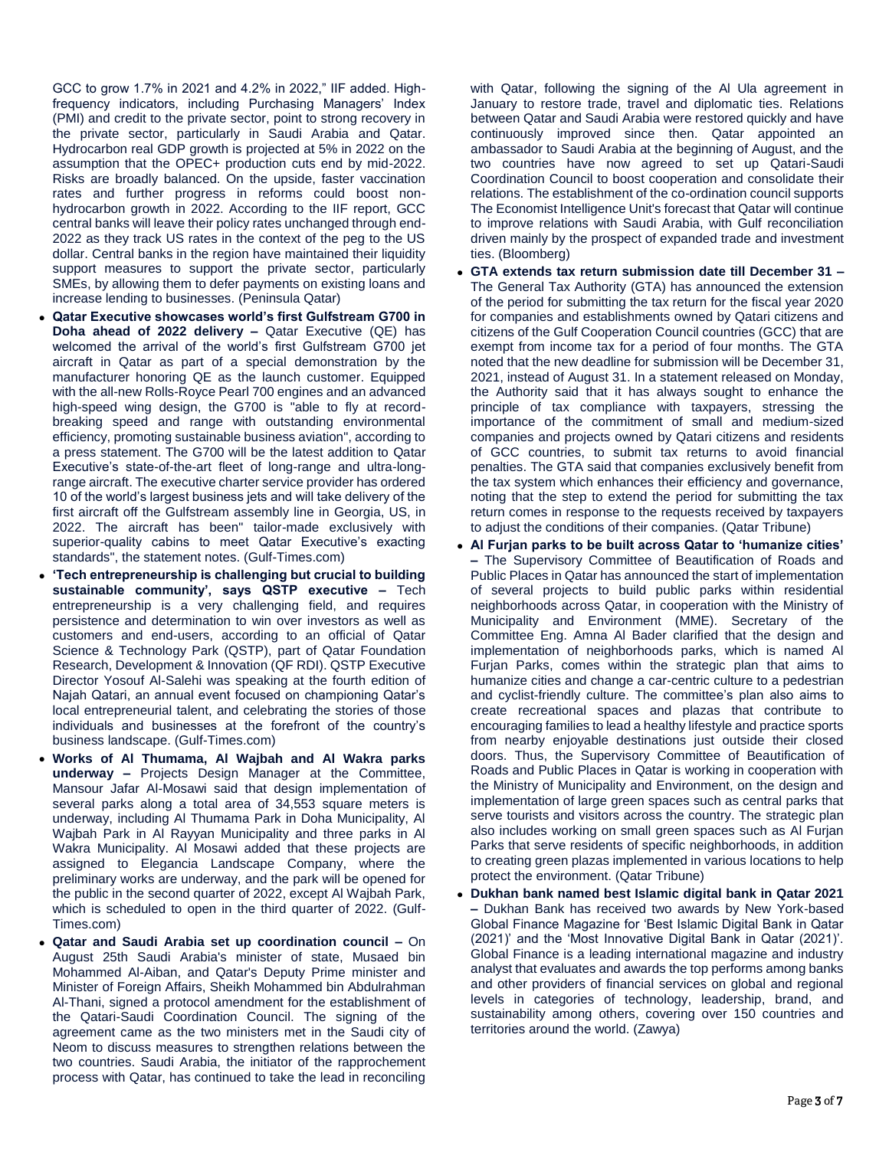GCC to grow 1.7% in 2021 and 4.2% in 2022," IIF added. Highfrequency indicators, including Purchasing Managers' Index (PMI) and credit to the private sector, point to strong recovery in the private sector, particularly in Saudi Arabia and Qatar. Hydrocarbon real GDP growth is projected at 5% in 2022 on the assumption that the OPEC+ production cuts end by mid-2022. Risks are broadly balanced. On the upside, faster vaccination rates and further progress in reforms could boost nonhydrocarbon growth in 2022. According to the IIF report, GCC central banks will leave their policy rates unchanged through end-2022 as they track US rates in the context of the peg to the US dollar. Central banks in the region have maintained their liquidity support measures to support the private sector, particularly SMEs, by allowing them to defer payments on existing loans and increase lending to businesses. (Peninsula Qatar)

- **Qatar Executive showcases world's first Gulfstream G700 in Doha ahead of 2022 delivery –** Qatar Executive (QE) has welcomed the arrival of the world's first Gulfstream G700 jet aircraft in Qatar as part of a special demonstration by the manufacturer honoring QE as the launch customer. Equipped with the all-new Rolls-Royce Pearl 700 engines and an advanced high-speed wing design, the G700 is "able to fly at recordbreaking speed and range with outstanding environmental efficiency, promoting sustainable business aviation", according to a press statement. The G700 will be the latest addition to Qatar Executive's state-of-the-art fleet of long-range and ultra-longrange aircraft. The executive charter service provider has ordered 10 of the world's largest business jets and will take delivery of the first aircraft off the Gulfstream assembly line in Georgia, US, in 2022. The aircraft has been" tailor-made exclusively with superior-quality cabins to meet Qatar Executive's exacting standards", the statement notes. (Gulf-Times.com)
- **'Tech entrepreneurship is challenging but crucial to building sustainable community', says QSTP executive –** Tech entrepreneurship is a very challenging field, and requires persistence and determination to win over investors as well as customers and end-users, according to an official of Qatar Science & Technology Park (QSTP), part of Qatar Foundation Research, Development & Innovation (QF RDI). QSTP Executive Director Yosouf Al-Salehi was speaking at the fourth edition of Najah Qatari, an annual event focused on championing Qatar's local entrepreneurial talent, and celebrating the stories of those individuals and businesses at the forefront of the country's business landscape. (Gulf-Times.com)
- **Works of Al Thumama, Al Wajbah and Al Wakra parks underway –** Projects Design Manager at the Committee, Mansour Jafar Al-Mosawi said that design implementation of several parks along a total area of 34,553 square meters is underway, including Al Thumama Park in Doha Municipality, Al Wajbah Park in Al Rayyan Municipality and three parks in Al Wakra Municipality. Al Mosawi added that these projects are assigned to Elegancia Landscape Company, where the preliminary works are underway, and the park will be opened for the public in the second quarter of 2022, except Al Wajbah Park, which is scheduled to open in the third quarter of 2022. (Gulf-Times.com)
- **Qatar and Saudi Arabia set up coordination council –** On August 25th Saudi Arabia's minister of state, Musaed bin Mohammed Al-Aiban, and Qatar's Deputy Prime minister and Minister of Foreign Affairs, Sheikh Mohammed bin Abdulrahman Al-Thani, signed a protocol amendment for the establishment of the Qatari-Saudi Coordination Council. The signing of the agreement came as the two ministers met in the Saudi city of Neom to discuss measures to strengthen relations between the two countries. Saudi Arabia, the initiator of the rapprochement process with Qatar, has continued to take the lead in reconciling

with Qatar, following the signing of the Al Ula agreement in January to restore trade, travel and diplomatic ties. Relations between Qatar and Saudi Arabia were restored quickly and have continuously improved since then. Qatar appointed an ambassador to Saudi Arabia at the beginning of August, and the two countries have now agreed to set up Qatari-Saudi Coordination Council to boost cooperation and consolidate their relations. The establishment of the co-ordination council supports The Economist Intelligence Unit's forecast that Qatar will continue to improve relations with Saudi Arabia, with Gulf reconciliation driven mainly by the prospect of expanded trade and investment ties. (Bloomberg)

- **GTA extends tax return submission date till December 31 –** The General Tax Authority (GTA) has announced the extension of the period for submitting the tax return for the fiscal year 2020 for companies and establishments owned by Qatari citizens and citizens of the Gulf Cooperation Council countries (GCC) that are exempt from income tax for a period of four months. The GTA noted that the new deadline for submission will be December 31, 2021, instead of August 31. In a statement released on Monday, the Authority said that it has always sought to enhance the principle of tax compliance with taxpayers, stressing the importance of the commitment of small and medium-sized companies and projects owned by Qatari citizens and residents of GCC countries, to submit tax returns to avoid financial penalties. The GTA said that companies exclusively benefit from the tax system which enhances their efficiency and governance, noting that the step to extend the period for submitting the tax return comes in response to the requests received by taxpayers to adjust the conditions of their companies. (Qatar Tribune)
- **Al Furjan parks to be built across Qatar to 'humanize cities' –** The Supervisory Committee of Beautification of Roads and Public Places in Qatar has announced the start of implementation of several projects to build public parks within residential neighborhoods across Qatar, in cooperation with the Ministry of Municipality and Environment (MME). Secretary of the Committee Eng. Amna Al Bader clarified that the design and implementation of neighborhoods parks, which is named Al Furjan Parks, comes within the strategic plan that aims to humanize cities and change a car-centric culture to a pedestrian and cyclist-friendly culture. The committee's plan also aims to create recreational spaces and plazas that contribute to encouraging families to lead a healthy lifestyle and practice sports from nearby enjoyable destinations just outside their closed doors. Thus, the Supervisory Committee of Beautification of Roads and Public Places in Qatar is working in cooperation with the Ministry of Municipality and Environment, on the design and implementation of large green spaces such as central parks that serve tourists and visitors across the country. The strategic plan also includes working on small green spaces such as Al Furjan Parks that serve residents of specific neighborhoods, in addition to creating green plazas implemented in various locations to help protect the environment. (Qatar Tribune)
- **Dukhan bank named best Islamic digital bank in Qatar 2021 –** Dukhan Bank has received two awards by New York-based Global Finance Magazine for 'Best Islamic Digital Bank in Qatar (2021)' and the 'Most Innovative Digital Bank in Qatar (2021)'. Global Finance is a leading international magazine and industry analyst that evaluates and awards the top performs among banks and other providers of financial services on global and regional levels in categories of technology, leadership, brand, and sustainability among others, covering over 150 countries and territories around the world. (Zawya)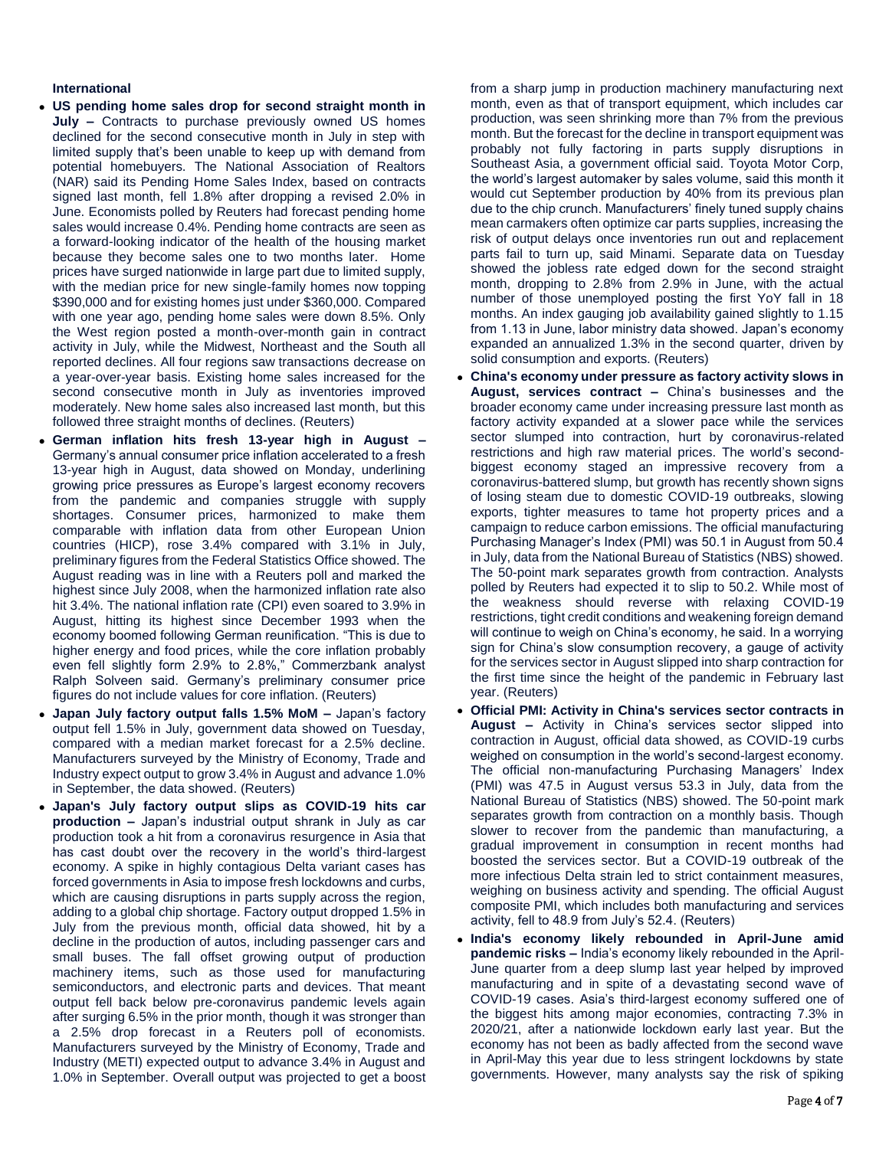### **International**

- **US pending home sales drop for second straight month in July –** Contracts to purchase previously owned US homes declined for the second consecutive month in July in step with limited supply that's been unable to keep up with demand from potential homebuyers. The National Association of Realtors (NAR) said its Pending Home Sales Index, based on contracts signed last month, fell 1.8% after dropping a revised 2.0% in June. Economists polled by Reuters had forecast pending home sales would increase 0.4%. Pending home contracts are seen as a forward-looking indicator of the health of the housing market because they become sales one to two months later. Home prices have surged nationwide in large part due to limited supply, with the median price for new single-family homes now topping \$390,000 and for existing homes just under \$360,000. Compared with one year ago, pending home sales were down 8.5%. Only the West region posted a month-over-month gain in contract activity in July, while the Midwest, Northeast and the South all reported declines. All four regions saw transactions decrease on a year-over-year basis. Existing home sales increased for the second consecutive month in July as inventories improved moderately. New home sales also increased last month, but this followed three straight months of declines. (Reuters)
- **German inflation hits fresh 13-year high in August –** Germany's annual consumer price inflation accelerated to a fresh 13-year high in August, data showed on Monday, underlining growing price pressures as Europe's largest economy recovers from the pandemic and companies struggle with supply shortages. Consumer prices, harmonized to make them comparable with inflation data from other European Union countries (HICP), rose 3.4% compared with 3.1% in July, preliminary figures from the Federal Statistics Office showed. The August reading was in line with a Reuters poll and marked the highest since July 2008, when the harmonized inflation rate also hit 3.4%. The national inflation rate (CPI) even soared to 3.9% in August, hitting its highest since December 1993 when the economy boomed following German reunification. "This is due to higher energy and food prices, while the core inflation probably even fell slightly form 2.9% to 2.8%," Commerzbank analyst Ralph Solveen said. Germany's preliminary consumer price figures do not include values for core inflation. (Reuters)
- **Japan July factory output falls 1.5% MoM –** Japan's factory output fell 1.5% in July, government data showed on Tuesday, compared with a median market forecast for a 2.5% decline. Manufacturers surveyed by the Ministry of Economy, Trade and Industry expect output to grow 3.4% in August and advance 1.0% in September, the data showed. (Reuters)
- **Japan's July factory output slips as COVID-19 hits car production –** Japan's industrial output shrank in July as car production took a hit from a coronavirus resurgence in Asia that has cast doubt over the recovery in the world's third-largest economy. A spike in highly contagious Delta variant cases has forced governments in Asia to impose fresh lockdowns and curbs, which are causing disruptions in parts supply across the region, adding to a global chip shortage. Factory output dropped 1.5% in July from the previous month, official data showed, hit by a decline in the production of autos, including passenger cars and small buses. The fall offset growing output of production machinery items, such as those used for manufacturing semiconductors, and electronic parts and devices. That meant output fell back below pre-coronavirus pandemic levels again after surging 6.5% in the prior month, though it was stronger than a 2.5% drop forecast in a Reuters poll of economists. Manufacturers surveyed by the Ministry of Economy, Trade and Industry (METI) expected output to advance 3.4% in August and 1.0% in September. Overall output was projected to get a boost

from a sharp jump in production machinery manufacturing next month, even as that of transport equipment, which includes car production, was seen shrinking more than 7% from the previous month. But the forecast for the decline in transport equipment was probably not fully factoring in parts supply disruptions in Southeast Asia, a government official said. Toyota Motor Corp, the world's largest automaker by sales volume, said this month it would cut September production by 40% from its previous plan due to the chip crunch. Manufacturers' finely tuned supply chains mean carmakers often optimize car parts supplies, increasing the risk of output delays once inventories run out and replacement parts fail to turn up, said Minami. Separate data on Tuesday showed the jobless rate edged down for the second straight month, dropping to 2.8% from 2.9% in June, with the actual number of those unemployed posting the first YoY fall in 18 months. An index gauging job availability gained slightly to 1.15 from 1.13 in June, labor ministry data showed. Japan's economy expanded an annualized 1.3% in the second quarter, driven by solid consumption and exports. (Reuters)

- **China's economy under pressure as factory activity slows in August, services contract –** China's businesses and the broader economy came under increasing pressure last month as factory activity expanded at a slower pace while the services sector slumped into contraction, hurt by coronavirus-related restrictions and high raw material prices. The world's secondbiggest economy staged an impressive recovery from a coronavirus-battered slump, but growth has recently shown signs of losing steam due to domestic COVID-19 outbreaks, slowing exports, tighter measures to tame hot property prices and a campaign to reduce carbon emissions. The official manufacturing Purchasing Manager's Index (PMI) was 50.1 in August from 50.4 in July, data from the National Bureau of Statistics (NBS) showed. The 50-point mark separates growth from contraction. Analysts polled by Reuters had expected it to slip to 50.2. While most of the weakness should reverse with relaxing COVID-19 restrictions, tight credit conditions and weakening foreign demand will continue to weigh on China's economy, he said. In a worrying sign for China's slow consumption recovery, a gauge of activity for the services sector in August slipped into sharp contraction for the first time since the height of the pandemic in February last year. (Reuters)
- **Official PMI: Activity in China's services sector contracts in August –** Activity in China's services sector slipped into contraction in August, official data showed, as COVID-19 curbs weighed on consumption in the world's second-largest economy. The official non-manufacturing Purchasing Managers' Index (PMI) was 47.5 in August versus 53.3 in July, data from the National Bureau of Statistics (NBS) showed. The 50-point mark separates growth from contraction on a monthly basis. Though slower to recover from the pandemic than manufacturing, a gradual improvement in consumption in recent months had boosted the services sector. But a COVID-19 outbreak of the more infectious Delta strain led to strict containment measures, weighing on business activity and spending. The official August composite PMI, which includes both manufacturing and services activity, fell to 48.9 from July's 52.4. (Reuters)
- **India's economy likely rebounded in April-June amid pandemic risks –** India's economy likely rebounded in the April-June quarter from a deep slump last year helped by improved manufacturing and in spite of a devastating second wave of COVID-19 cases. Asia's third-largest economy suffered one of the biggest hits among major economies, contracting 7.3% in 2020/21, after a nationwide lockdown early last year. But the economy has not been as badly affected from the second wave in April-May this year due to less stringent lockdowns by state governments. However, many analysts say the risk of spiking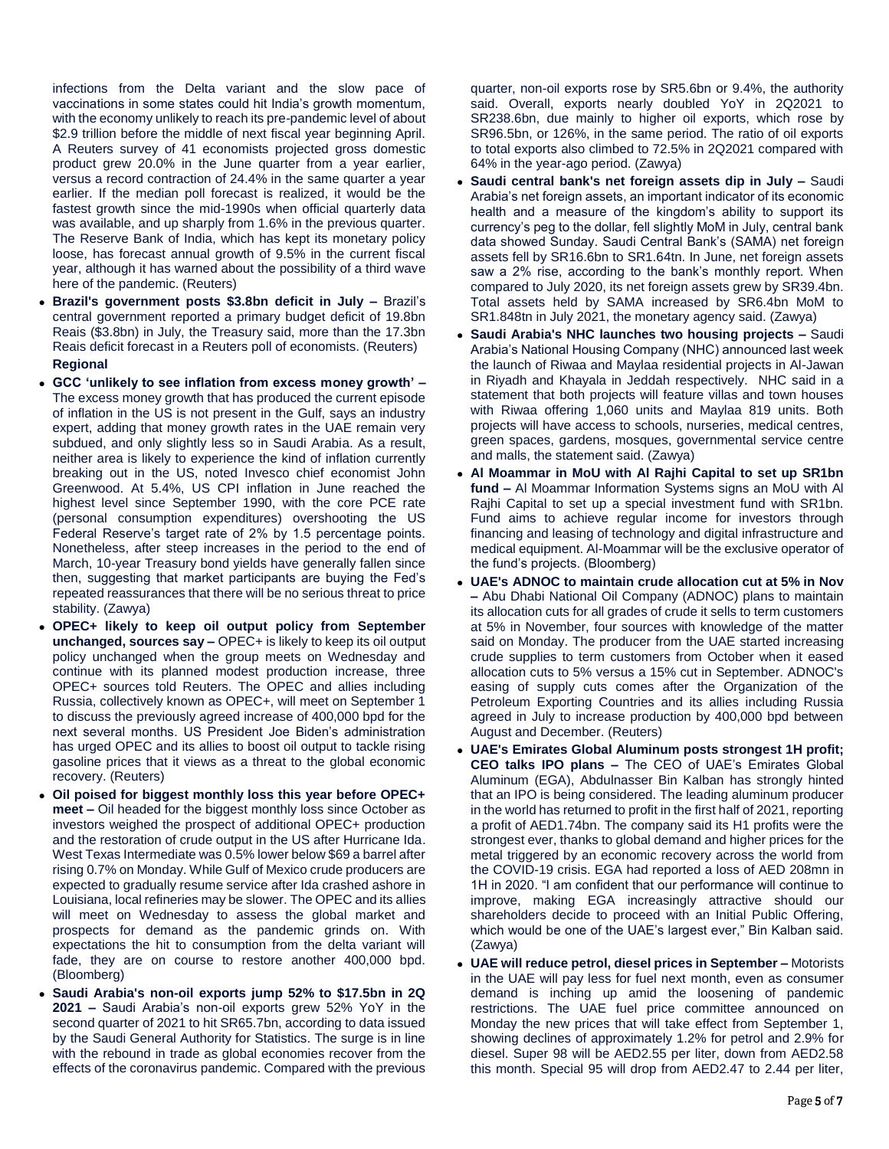infections from the Delta variant and the slow pace of vaccinations in some states could hit India's growth momentum, with the economy unlikely to reach its pre-pandemic level of about \$2.9 trillion before the middle of next fiscal year beginning April. A Reuters survey of 41 economists projected gross domestic product grew 20.0% in the June quarter from a year earlier, versus a record contraction of 24.4% in the same quarter a year earlier. If the median poll forecast is realized, it would be the fastest growth since the mid-1990s when official quarterly data was available, and up sharply from 1.6% in the previous quarter. The Reserve Bank of India, which has kept its monetary policy loose, has forecast annual growth of 9.5% in the current fiscal year, although it has warned about the possibility of a third wave here of the pandemic. (Reuters)

- **Brazil's government posts \$3.8bn deficit in July –** Brazil's central government reported a primary budget deficit of 19.8bn Reais (\$3.8bn) in July, the Treasury said, more than the 17.3bn Reais deficit forecast in a Reuters poll of economists. (Reuters) **Regional**
- **GCC 'unlikely to see inflation from excess money growth' –** The excess money growth that has produced the current episode of inflation in the US is not present in the Gulf, says an industry expert, adding that money growth rates in the UAE remain very subdued, and only slightly less so in Saudi Arabia. As a result, neither area is likely to experience the kind of inflation currently breaking out in the US, noted Invesco chief economist John Greenwood. At 5.4%, US CPI inflation in June reached the highest level since September 1990, with the core PCE rate (personal consumption expenditures) overshooting the US Federal Reserve's target rate of 2% by 1.5 percentage points. Nonetheless, after steep increases in the period to the end of March, 10-year Treasury bond yields have generally fallen since then, suggesting that market participants are buying the Fed's repeated reassurances that there will be no serious threat to price stability. (Zawya)
- **OPEC+ likely to keep oil output policy from September unchanged, sources say –** OPEC+ is likely to keep its oil output policy unchanged when the group meets on Wednesday and continue with its planned modest production increase, three OPEC+ sources told Reuters. The OPEC and allies including Russia, collectively known as OPEC+, will meet on September 1 to discuss the previously agreed increase of 400,000 bpd for the next several months. US President Joe Biden's administration has urged OPEC and its allies to boost oil output to tackle rising gasoline prices that it views as a threat to the global economic recovery. (Reuters)
- **Oil poised for biggest monthly loss this year before OPEC+ meet –** Oil headed for the biggest monthly loss since October as investors weighed the prospect of additional OPEC+ production and the restoration of crude output in the US after Hurricane Ida. West Texas Intermediate was 0.5% lower below \$69 a barrel after rising 0.7% on Monday. While Gulf of Mexico crude producers are expected to gradually resume service after Ida crashed ashore in Louisiana, local refineries may be slower. The OPEC and its allies will meet on Wednesday to assess the global market and prospects for demand as the pandemic grinds on. With expectations the hit to consumption from the delta variant will fade, they are on course to restore another 400,000 bpd. (Bloomberg)
- **Saudi Arabia's non-oil exports jump 52% to \$17.5bn in 2Q 2021 –** Saudi Arabia's non-oil exports grew 52% YoY in the second quarter of 2021 to hit SR65.7bn, according to data issued by the Saudi General Authority for Statistics. The surge is in line with the rebound in trade as global economies recover from the effects of the coronavirus pandemic. Compared with the previous

quarter, non-oil exports rose by SR5.6bn or 9.4%, the authority said. Overall, exports nearly doubled YoY in 2Q2021 to SR238.6bn, due mainly to higher oil exports, which rose by SR96.5bn, or 126%, in the same period. The ratio of oil exports to total exports also climbed to 72.5% in 2Q2021 compared with 64% in the year-ago period. (Zawya)

- **Saudi central bank's net foreign assets dip in July –** Saudi Arabia's net foreign assets, an important indicator of its economic health and a measure of the kingdom's ability to support its currency's peg to the dollar, fell slightly MoM in July, central bank data showed Sunday. Saudi Central Bank's (SAMA) net foreign assets fell by SR16.6bn to SR1.64tn. In June, net foreign assets saw a 2% rise, according to the bank's monthly report. When compared to July 2020, its net foreign assets grew by SR39.4bn. Total assets held by SAMA increased by SR6.4bn MoM to SR1.848tn in July 2021, the monetary agency said. (Zawya)
- **Saudi Arabia's NHC launches two housing projects –** Saudi Arabia's National Housing Company (NHC) announced last week the launch of Riwaa and Maylaa residential projects in Al-Jawan in Riyadh and Khayala in Jeddah respectively. NHC said in a statement that both projects will feature villas and town houses with Riwaa offering 1,060 units and Maylaa 819 units. Both projects will have access to schools, nurseries, medical centres, green spaces, gardens, mosques, governmental service centre and malls, the statement said. (Zawya)
- **Al Moammar in MoU with Al Rajhi Capital to set up SR1bn fund –** Al Moammar Information Systems signs an MoU with Al Rajhi Capital to set up a special investment fund with SR1bn. Fund aims to achieve regular income for investors through financing and leasing of technology and digital infrastructure and medical equipment. Al-Moammar will be the exclusive operator of the fund's projects. (Bloomberg)
- **UAE's ADNOC to maintain crude allocation cut at 5% in Nov –** Abu Dhabi National Oil Company (ADNOC) plans to maintain its allocation cuts for all grades of crude it sells to term customers at 5% in November, four sources with knowledge of the matter said on Monday. The producer from the UAE started increasing crude supplies to term customers from October when it eased allocation cuts to 5% versus a 15% cut in September. ADNOC's easing of supply cuts comes after the Organization of the Petroleum Exporting Countries and its allies including Russia agreed in July to increase production by 400,000 bpd between August and December. (Reuters)
- **UAE's Emirates Global Aluminum posts strongest 1H profit; CEO talks IPO plans –** The CEO of UAE's Emirates Global Aluminum (EGA), Abdulnasser Bin Kalban has strongly hinted that an IPO is being considered. The leading aluminum producer in the world has returned to profit in the first half of 2021, reporting a profit of AED1.74bn. The company said its H1 profits were the strongest ever, thanks to global demand and higher prices for the metal triggered by an economic recovery across the world from the COVID-19 crisis. EGA had reported a loss of AED 208mn in 1H in 2020. "I am confident that our performance will continue to improve, making EGA increasingly attractive should our shareholders decide to proceed with an Initial Public Offering, which would be one of the UAE's largest ever," Bin Kalban said. (Zawya)
- **UAE will reduce petrol, diesel prices in September –** Motorists in the UAE will pay less for fuel next month, even as consumer demand is inching up amid the loosening of pandemic restrictions. The UAE fuel price committee announced on Monday the new prices that will take effect from September 1, showing declines of approximately 1.2% for petrol and 2.9% for diesel. Super 98 will be AED2.55 per liter, down from AED2.58 this month. Special 95 will drop from AED2.47 to 2.44 per liter,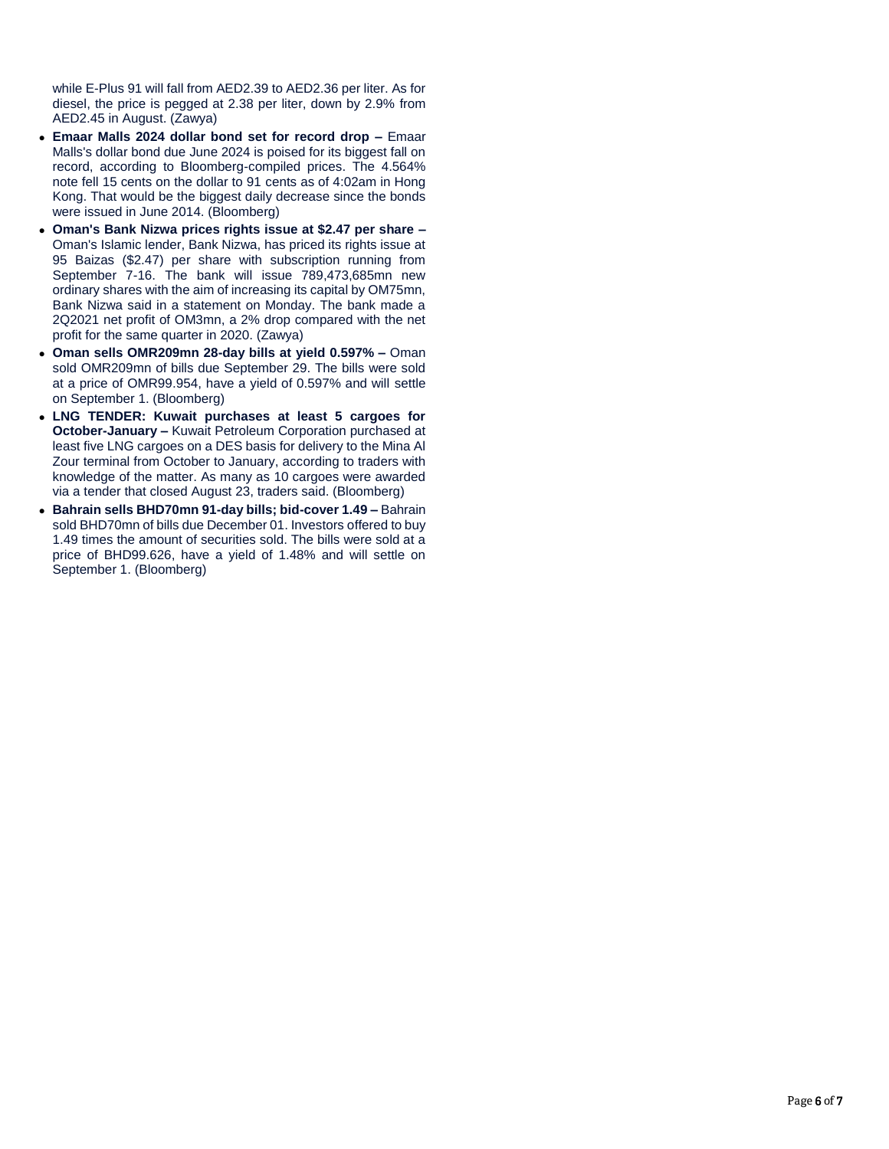while E-Plus 91 will fall from AED2.39 to AED2.36 per liter. As for diesel, the price is pegged at 2.38 per liter, down by 2.9% from AED2.45 in August. (Zawya)

- **Emaar Malls 2024 dollar bond set for record drop –** Emaar Malls's dollar bond due June 2024 is poised for its biggest fall on record, according to Bloomberg-compiled prices. The 4.564% note fell 15 cents on the dollar to 91 cents as of 4:02am in Hong Kong. That would be the biggest daily decrease since the bonds were issued in June 2014. (Bloomberg)
- **Oman's Bank Nizwa prices rights issue at \$2.47 per share –** Oman's Islamic lender, Bank Nizwa, has priced its rights issue at 95 Baizas (\$2.47) per share with subscription running from September 7-16. The bank will issue 789,473,685mn new ordinary shares with the aim of increasing its capital by OM75mn, Bank Nizwa said in a statement on Monday. The bank made a 2Q2021 net profit of OM3mn, a 2% drop compared with the net profit for the same quarter in 2020. (Zawya)
- **Oman sells OMR209mn 28-day bills at yield 0.597% –** Oman sold OMR209mn of bills due September 29. The bills were sold at a price of OMR99.954, have a yield of 0.597% and will settle on September 1. (Bloomberg)
- **LNG TENDER: Kuwait purchases at least 5 cargoes for October-January –** Kuwait Petroleum Corporation purchased at least five LNG cargoes on a DES basis for delivery to the Mina Al Zour terminal from October to January, according to traders with knowledge of the matter. As many as 10 cargoes were awarded via a tender that closed August 23, traders said. (Bloomberg)
- **Bahrain sells BHD70mn 91-day bills; bid-cover 1.49 –** Bahrain sold BHD70mn of bills due December 01. Investors offered to buy 1.49 times the amount of securities sold. The bills were sold at a price of BHD99.626, have a yield of 1.48% and will settle on September 1. (Bloomberg)